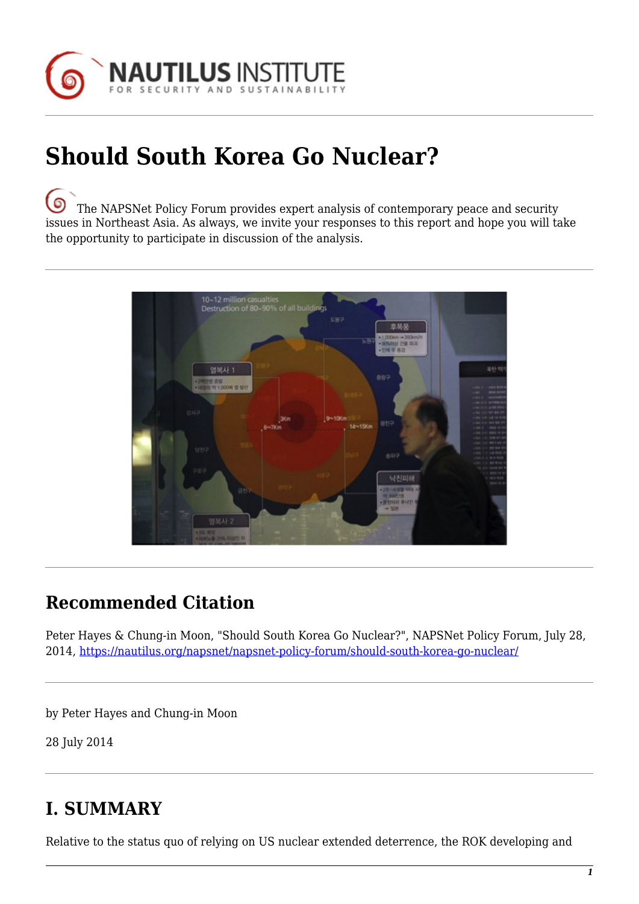

# **Should South Korea Go Nuclear?**

[T](https://nautilus.org/wp-content/uploads/2013/05/nautilus-logo-small.png)he NAPSNet Policy Forum provides expert analysis of contemporary peace and security issues in Northeast Asia. As always, we invite your responses to this report and hope you will take the opportunity to participate in discussion of the analysis.



### **Recommended Citation**

Peter Hayes & Chung-in Moon, "Should South Korea Go Nuclear?", NAPSNet Policy Forum, July 28, 2014, <https://nautilus.org/napsnet/napsnet-policy-forum/should-south-korea-go-nuclear/>

by Peter Hayes and Chung-in Moon

28 July 2014

### **I. SUMMARY**

Relative to the status quo of relying on US nuclear extended deterrence, the ROK developing and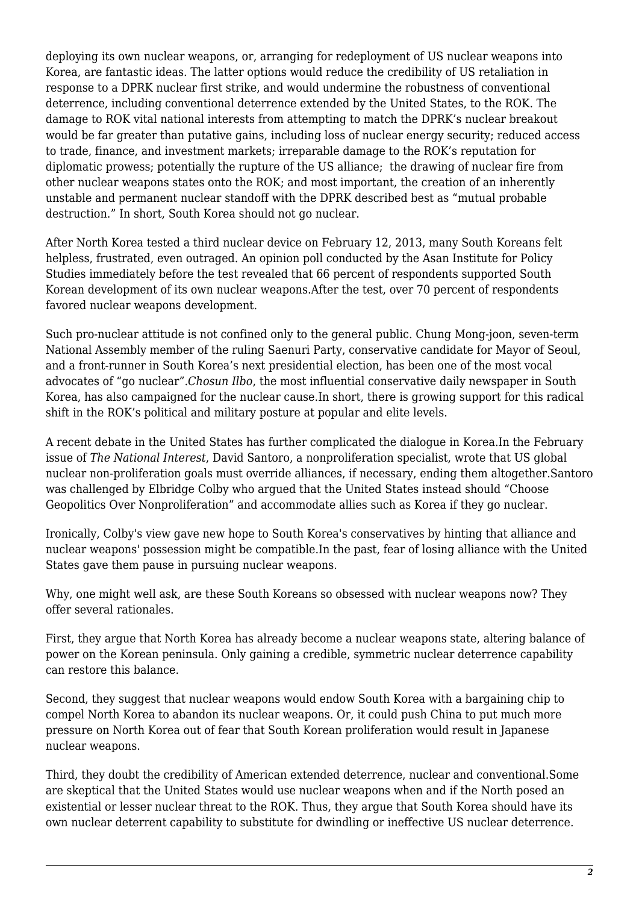deploying its own nuclear weapons, or, arranging for redeployment of US nuclear weapons into Korea, are fantastic ideas. The latter options would reduce the credibility of US retaliation in response to a DPRK nuclear first strike, and would undermine the robustness of conventional deterrence, including conventional deterrence extended by the United States, to the ROK. The damage to ROK vital national interests from attempting to match the DPRK's nuclear breakout would be far greater than putative gains, including loss of nuclear energy security; reduced access to trade, finance, and investment markets; irreparable damage to the ROK's reputation for diplomatic prowess; potentially the rupture of the US alliance; the drawing of nuclear fire from other nuclear weapons states onto the ROK; and most important, the creation of an inherently unstable and permanent nuclear standoff with the DPRK described best as "mutual probable destruction." In short, South Korea should not go nuclear.

After North Korea tested a third nuclear device on February 12, 2013, many South Koreans felt helpless, frustrated, even outraged. An opinion poll conducted by the Asan Institute for Policy Studies immediately before the test revealed that 66 percent of respondents supported South Korean development of its own nuclear weapons.After the test, over 70 percent of respondents favored nuclear weapons development.

Such pro-nuclear attitude is not confined only to the general public. Chung Mong-joon, seven-term National Assembly member of the ruling Saenuri Party, conservative candidate for Mayor of Seoul, and a front-runner in South Korea's next presidential election, has been one of the most vocal advocates of "go nuclear".*Chosun Ilbo*, the most influential conservative daily newspaper in South Korea, has also campaigned for the nuclear cause.In short, there is growing support for this radical shift in the ROK's political and military posture at popular and elite levels.

A recent debate in the United States has further complicated the dialogue in Korea.In the February issue of *The National Interest*, David Santoro, a nonproliferation specialist, wrote that US global nuclear non-proliferation goals must override alliances, if necessary, ending them altogether.Santoro was challenged by Elbridge Colby who argued that the United States instead should "Choose Geopolitics Over Nonproliferation" and accommodate allies such as Korea if they go nuclear.

Ironically, Colby's view gave new hope to South Korea's conservatives by hinting that alliance and nuclear weapons' possession might be compatible.In the past, fear of losing alliance with the United States gave them pause in pursuing nuclear weapons.

Why, one might well ask, are these South Koreans so obsessed with nuclear weapons now? They offer several rationales.

First, they argue that North Korea has already become a nuclear weapons state, altering balance of power on the Korean peninsula. Only gaining a credible, symmetric nuclear deterrence capability can restore this balance.

Second, they suggest that nuclear weapons would endow South Korea with a bargaining chip to compel North Korea to abandon its nuclear weapons. Or, it could push China to put much more pressure on North Korea out of fear that South Korean proliferation would result in Japanese nuclear weapons.

Third, they doubt the credibility of American extended deterrence, nuclear and conventional.Some are skeptical that the United States would use nuclear weapons when and if the North posed an existential or lesser nuclear threat to the ROK. Thus, they argue that South Korea should have its own nuclear deterrent capability to substitute for dwindling or ineffective US nuclear deterrence.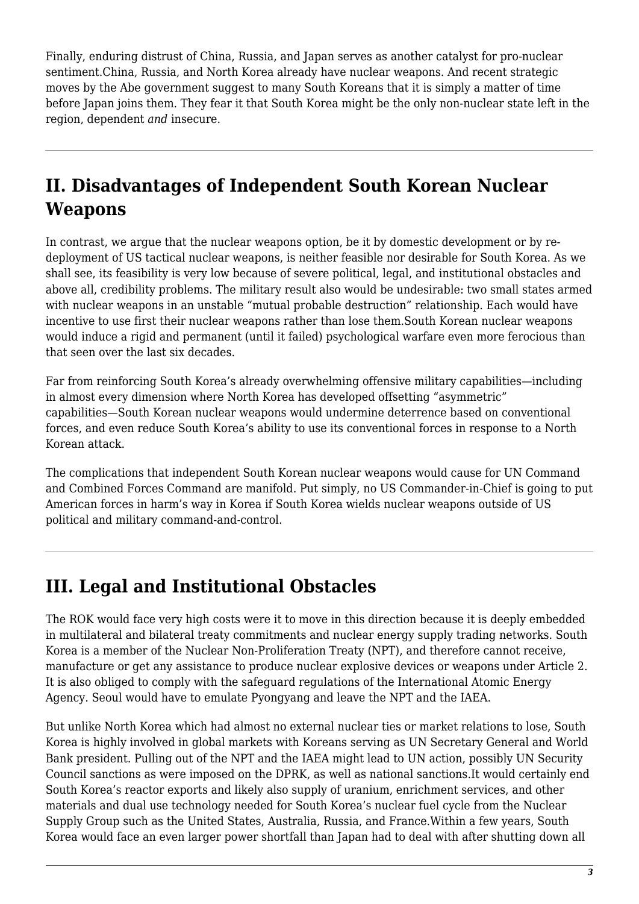Finally, enduring distrust of China, Russia, and Japan serves as another catalyst for pro-nuclear sentiment.China, Russia, and North Korea already have nuclear weapons. And recent strategic moves by the Abe government suggest to many South Koreans that it is simply a matter of time before Japan joins them. They fear it that South Korea might be the only non-nuclear state left in the region, dependent *and* insecure.

# **II. Disadvantages of Independent South Korean Nuclear Weapons**

In contrast, we argue that the nuclear weapons option, be it by domestic development or by redeployment of US tactical nuclear weapons, is neither feasible nor desirable for South Korea. As we shall see, its feasibility is very low because of severe political, legal, and institutional obstacles and above all, credibility problems. The military result also would be undesirable: two small states armed with nuclear weapons in an unstable "mutual probable destruction" relationship. Each would have incentive to use first their nuclear weapons rather than lose them.South Korean nuclear weapons would induce a rigid and permanent (until it failed) psychological warfare even more ferocious than that seen over the last six decades.

Far from reinforcing South Korea's already overwhelming offensive military capabilities—including in almost every dimension where North Korea has developed offsetting "asymmetric" capabilities—South Korean nuclear weapons would undermine deterrence based on conventional forces, and even reduce South Korea's ability to use its conventional forces in response to a North Korean attack.

The complications that independent South Korean nuclear weapons would cause for UN Command and Combined Forces Command are manifold. Put simply, no US Commander-in-Chief is going to put American forces in harm's way in Korea if South Korea wields nuclear weapons outside of US political and military command-and-control.

### **III. Legal and Institutional Obstacles**

The ROK would face very high costs were it to move in this direction because it is deeply embedded in multilateral and bilateral treaty commitments and nuclear energy supply trading networks. South Korea is a member of the Nuclear Non-Proliferation Treaty (NPT), and therefore cannot receive, manufacture or get any assistance to produce nuclear explosive devices or weapons under Article 2. It is also obliged to comply with the safeguard regulations of the International Atomic Energy Agency. Seoul would have to emulate Pyongyang and leave the NPT and the IAEA.

But unlike North Korea which had almost no external nuclear ties or market relations to lose, South Korea is highly involved in global markets with Koreans serving as UN Secretary General and World Bank president. Pulling out of the NPT and the IAEA might lead to UN action, possibly UN Security Council sanctions as were imposed on the DPRK, as well as national sanctions.It would certainly end South Korea's reactor exports and likely also supply of uranium, enrichment services, and other materials and dual use technology needed for South Korea's nuclear fuel cycle from the Nuclear Supply Group such as the United States, Australia, Russia, and France.Within a few years, South Korea would face an even larger power shortfall than Japan had to deal with after shutting down all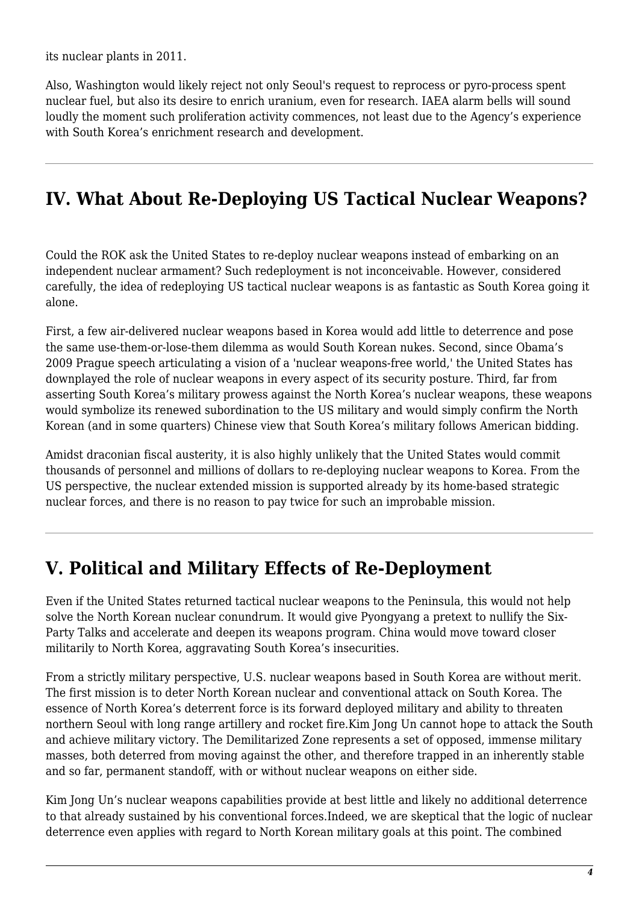its nuclear plants in 2011.

Also, Washington would likely reject not only Seoul's request to reprocess or pyro-process spent nuclear fuel, but also its desire to enrich uranium, even for research. IAEA alarm bells will sound loudly the moment such proliferation activity commences, not least due to the Agency's experience with South Korea's enrichment research and development.

#### **IV. What About Re-Deploying US Tactical Nuclear Weapons?**

Could the ROK ask the United States to re-deploy nuclear weapons instead of embarking on an independent nuclear armament? Such redeployment is not inconceivable. However, considered carefully, the idea of redeploying US tactical nuclear weapons is as fantastic as South Korea going it alone.

First, a few air-delivered nuclear weapons based in Korea would add little to deterrence and pose the same use-them-or-lose-them dilemma as would South Korean nukes. Second, since Obama's 2009 Prague speech articulating a vision of a 'nuclear weapons-free world,' the United States has downplayed the role of nuclear weapons in every aspect of its security posture. Third, far from asserting South Korea's military prowess against the North Korea's nuclear weapons, these weapons would symbolize its renewed subordination to the US military and would simply confirm the North Korean (and in some quarters) Chinese view that South Korea's military follows American bidding.

Amidst draconian fiscal austerity, it is also highly unlikely that the United States would commit thousands of personnel and millions of dollars to re-deploying nuclear weapons to Korea. From the US perspective, the nuclear extended mission is supported already by its home-based strategic nuclear forces, and there is no reason to pay twice for such an improbable mission.

#### **V. Political and Military Effects of Re-Deployment**

Even if the United States returned tactical nuclear weapons to the Peninsula, this would not help solve the North Korean nuclear conundrum. It would give Pyongyang a pretext to nullify the Six-Party Talks and accelerate and deepen its weapons program. China would move toward closer militarily to North Korea, aggravating South Korea's insecurities.

From a strictly military perspective, U.S. nuclear weapons based in South Korea are without merit. The first mission is to deter North Korean nuclear and conventional attack on South Korea. The essence of North Korea's deterrent force is its forward deployed military and ability to threaten northern Seoul with long range artillery and rocket fire.Kim Jong Un cannot hope to attack the South and achieve military victory. The Demilitarized Zone represents a set of opposed, immense military masses, both deterred from moving against the other, and therefore trapped in an inherently stable and so far, permanent standoff, with or without nuclear weapons on either side.

Kim Jong Un's nuclear weapons capabilities provide at best little and likely no additional deterrence to that already sustained by his conventional forces.Indeed, we are skeptical that the logic of nuclear deterrence even applies with regard to North Korean military goals at this point. The combined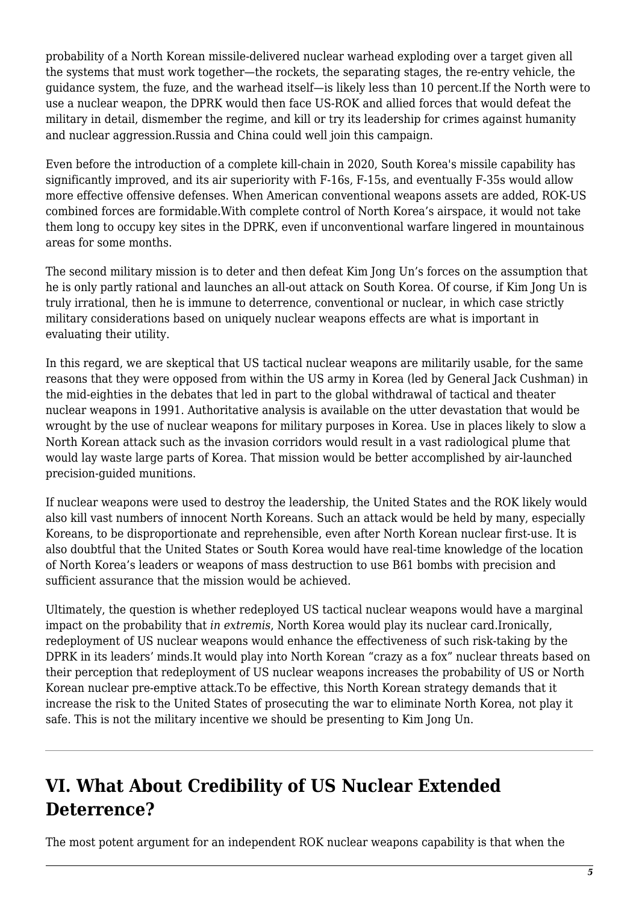probability of a North Korean missile-delivered nuclear warhead exploding over a target given all the systems that must work together—the rockets, the separating stages, the re-entry vehicle, the guidance system, the fuze, and the warhead itself—is likely less than 10 percent.If the North were to use a nuclear weapon, the DPRK would then face US-ROK and allied forces that would defeat the military in detail, dismember the regime, and kill or try its leadership for crimes against humanity and nuclear aggression.Russia and China could well join this campaign.

Even before the introduction of a complete kill-chain in 2020, South Korea's missile capability has significantly improved, and its air superiority with F-16s, F-15s, and eventually F-35s would allow more effective offensive defenses. When American conventional weapons assets are added, ROK-US combined forces are formidable.With complete control of North Korea's airspace, it would not take them long to occupy key sites in the DPRK, even if unconventional warfare lingered in mountainous areas for some months.

The second military mission is to deter and then defeat Kim Jong Un's forces on the assumption that he is only partly rational and launches an all-out attack on South Korea. Of course, if Kim Jong Un is truly irrational, then he is immune to deterrence, conventional or nuclear, in which case strictly military considerations based on uniquely nuclear weapons effects are what is important in evaluating their utility.

In this regard, we are skeptical that US tactical nuclear weapons are militarily usable, for the same reasons that they were opposed from within the US army in Korea (led by General Jack Cushman) in the mid-eighties in the debates that led in part to the global withdrawal of tactical and theater nuclear weapons in 1991. Authoritative analysis is available on the utter devastation that would be wrought by the use of nuclear weapons for military purposes in Korea. Use in places likely to slow a North Korean attack such as the invasion corridors would result in a vast radiological plume that would lay waste large parts of Korea. That mission would be better accomplished by air-launched precision-guided munitions.

If nuclear weapons were used to destroy the leadership, the United States and the ROK likely would also kill vast numbers of innocent North Koreans. Such an attack would be held by many, especially Koreans, to be disproportionate and reprehensible, even after North Korean nuclear first-use. It is also doubtful that the United States or South Korea would have real-time knowledge of the location of North Korea's leaders or weapons of mass destruction to use B61 bombs with precision and sufficient assurance that the mission would be achieved.

Ultimately, the question is whether redeployed US tactical nuclear weapons would have a marginal impact on the probability that *in extremis*, North Korea would play its nuclear card.Ironically, redeployment of US nuclear weapons would enhance the effectiveness of such risk-taking by the DPRK in its leaders' minds.It would play into North Korean "crazy as a fox" nuclear threats based on their perception that redeployment of US nuclear weapons increases the probability of US or North Korean nuclear pre-emptive attack.To be effective, this North Korean strategy demands that it increase the risk to the United States of prosecuting the war to eliminate North Korea, not play it safe. This is not the military incentive we should be presenting to Kim Jong Un.

# **VI. What About Credibility of US Nuclear Extended Deterrence?**

The most potent argument for an independent ROK nuclear weapons capability is that when the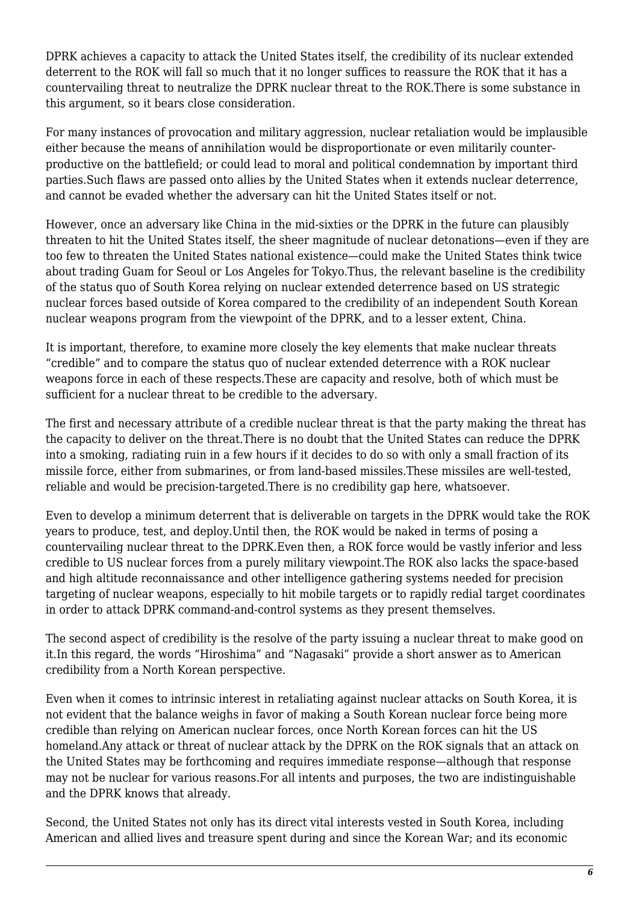DPRK achieves a capacity to attack the United States itself, the credibility of its nuclear extended deterrent to the ROK will fall so much that it no longer suffices to reassure the ROK that it has a countervailing threat to neutralize the DPRK nuclear threat to the ROK.There is some substance in this argument, so it bears close consideration.

For many instances of provocation and military aggression, nuclear retaliation would be implausible either because the means of annihilation would be disproportionate or even militarily counterproductive on the battlefield; or could lead to moral and political condemnation by important third parties.Such flaws are passed onto allies by the United States when it extends nuclear deterrence, and cannot be evaded whether the adversary can hit the United States itself or not.

However, once an adversary like China in the mid-sixties or the DPRK in the future can plausibly threaten to hit the United States itself, the sheer magnitude of nuclear detonations—even if they are too few to threaten the United States national existence—could make the United States think twice about trading Guam for Seoul or Los Angeles for Tokyo.Thus, the relevant baseline is the credibility of the status quo of South Korea relying on nuclear extended deterrence based on US strategic nuclear forces based outside of Korea compared to the credibility of an independent South Korean nuclear weapons program from the viewpoint of the DPRK, and to a lesser extent, China.

It is important, therefore, to examine more closely the key elements that make nuclear threats "credible" and to compare the status quo of nuclear extended deterrence with a ROK nuclear weapons force in each of these respects.These are capacity and resolve, both of which must be sufficient for a nuclear threat to be credible to the adversary.

The first and necessary attribute of a credible nuclear threat is that the party making the threat has the capacity to deliver on the threat.There is no doubt that the United States can reduce the DPRK into a smoking, radiating ruin in a few hours if it decides to do so with only a small fraction of its missile force, either from submarines, or from land-based missiles.These missiles are well-tested, reliable and would be precision-targeted.There is no credibility gap here, whatsoever.

Even to develop a minimum deterrent that is deliverable on targets in the DPRK would take the ROK years to produce, test, and deploy.Until then, the ROK would be naked in terms of posing a countervailing nuclear threat to the DPRK.Even then, a ROK force would be vastly inferior and less credible to US nuclear forces from a purely military viewpoint.The ROK also lacks the space-based and high altitude reconnaissance and other intelligence gathering systems needed for precision targeting of nuclear weapons, especially to hit mobile targets or to rapidly redial target coordinates in order to attack DPRK command-and-control systems as they present themselves.

The second aspect of credibility is the resolve of the party issuing a nuclear threat to make good on it.In this regard, the words "Hiroshima" and "Nagasaki" provide a short answer as to American credibility from a North Korean perspective.

Even when it comes to intrinsic interest in retaliating against nuclear attacks on South Korea, it is not evident that the balance weighs in favor of making a South Korean nuclear force being more credible than relying on American nuclear forces, once North Korean forces can hit the US homeland.Any attack or threat of nuclear attack by the DPRK on the ROK signals that an attack on the United States may be forthcoming and requires immediate response—although that response may not be nuclear for various reasons.For all intents and purposes, the two are indistinguishable and the DPRK knows that already.

Second, the United States not only has its direct vital interests vested in South Korea, including American and allied lives and treasure spent during and since the Korean War; and its economic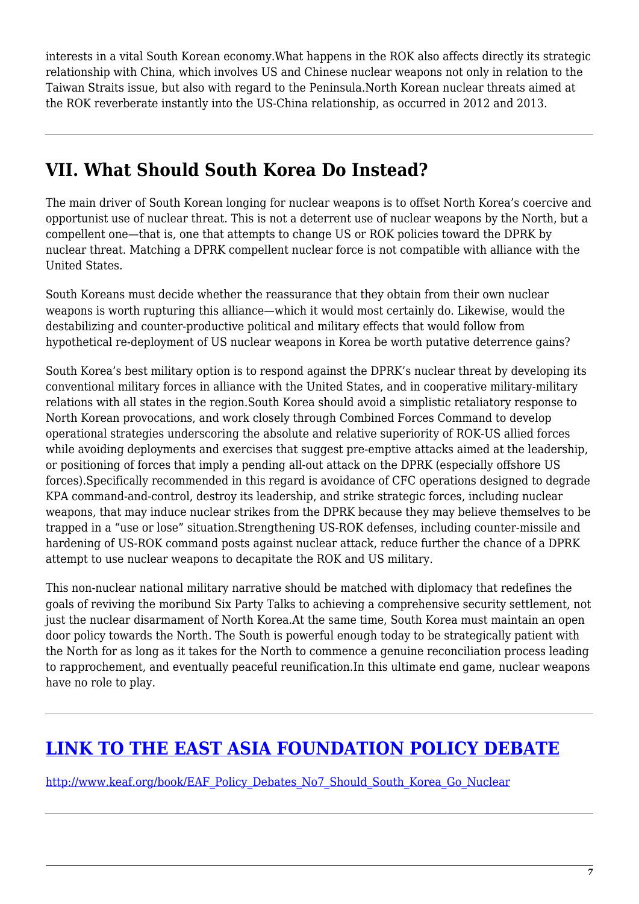interests in a vital South Korean economy.What happens in the ROK also affects directly its strategic relationship with China, which involves US and Chinese nuclear weapons not only in relation to the Taiwan Straits issue, but also with regard to the Peninsula.North Korean nuclear threats aimed at the ROK reverberate instantly into the US-China relationship, as occurred in 2012 and 2013.

### **VII. What Should South Korea Do Instead?**

The main driver of South Korean longing for nuclear weapons is to offset North Korea's coercive and opportunist use of nuclear threat. This is not a deterrent use of nuclear weapons by the North, but a compellent one—that is, one that attempts to change US or ROK policies toward the DPRK by nuclear threat. Matching a DPRK compellent nuclear force is not compatible with alliance with the United States.

South Koreans must decide whether the reassurance that they obtain from their own nuclear weapons is worth rupturing this alliance—which it would most certainly do. Likewise, would the destabilizing and counter-productive political and military effects that would follow from hypothetical re-deployment of US nuclear weapons in Korea be worth putative deterrence gains?

South Korea's best military option is to respond against the DPRK's nuclear threat by developing its conventional military forces in alliance with the United States, and in cooperative military-military relations with all states in the region.South Korea should avoid a simplistic retaliatory response to North Korean provocations, and work closely through Combined Forces Command to develop operational strategies underscoring the absolute and relative superiority of ROK-US allied forces while avoiding deployments and exercises that suggest pre-emptive attacks aimed at the leadership, or positioning of forces that imply a pending all-out attack on the DPRK (especially offshore US forces).Specifically recommended in this regard is avoidance of CFC operations designed to degrade KPA command-and-control, destroy its leadership, and strike strategic forces, including nuclear weapons, that may induce nuclear strikes from the DPRK because they may believe themselves to be trapped in a "use or lose" situation.Strengthening US-ROK defenses, including counter-missile and hardening of US-ROK command posts against nuclear attack, reduce further the chance of a DPRK attempt to use nuclear weapons to decapitate the ROK and US military.

This non-nuclear national military narrative should be matched with diplomacy that redefines the goals of reviving the moribund Six Party Talks to achieving a comprehensive security settlement, not just the nuclear disarmament of North Korea.At the same time, South Korea must maintain an open door policy towards the North. The South is powerful enough today to be strategically patient with the North for as long as it takes for the North to commence a genuine reconciliation process leading to rapprochement, and eventually peaceful reunification.In this ultimate end game, nuclear weapons have no role to play.

### **[LINK TO THE EAST ASIA FOUNDATION POLICY DEBATE](http://www.keaf.org/book/EAF_Policy_Debates_No7_Should_South_Korea_Go_Nuclear)**

[http://www.keaf.org/book/EAF\\_Policy\\_Debates\\_No7\\_Should\\_South\\_Korea\\_Go\\_Nuclear](http://www.keaf.org/book/EAF_Policy_Debates_No7_Should_South_Korea_Go_Nuclear)